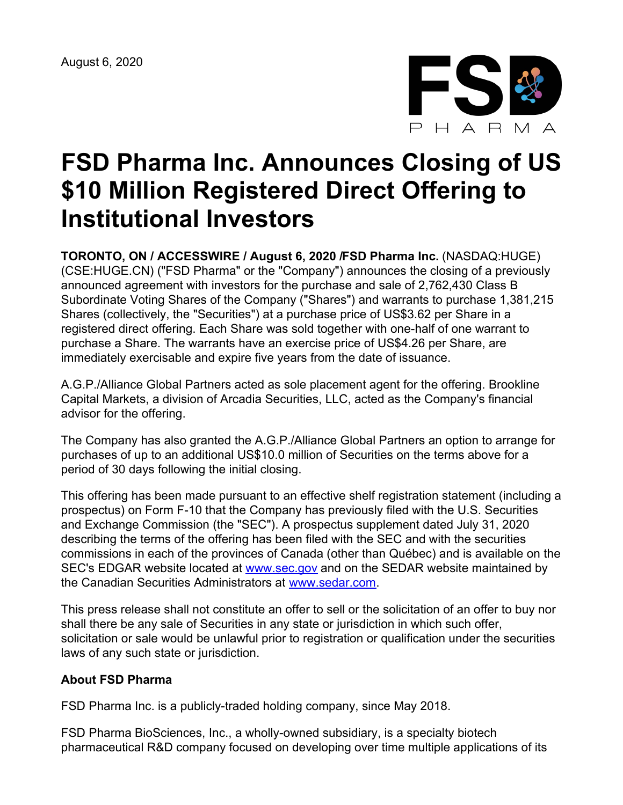August 6, 2020



## **FSD Pharma Inc. Announces Closing of US \$10 Million Registered Direct Offering to Institutional Investors**

**TORONTO, ON / ACCESSWIRE / August 6, 2020 /FSD Pharma Inc.** (NASDAQ:HUGE) (CSE:HUGE.CN) ("FSD Pharma" or the "Company") announces the closing of a previously announced agreement with investors for the purchase and sale of 2,762,430 Class B Subordinate Voting Shares of the Company ("Shares") and warrants to purchase 1,381,215 Shares (collectively, the "Securities") at a purchase price of US\$3.62 per Share in a registered direct offering. Each Share was sold together with one-half of one warrant to purchase a Share. The warrants have an exercise price of US\$4.26 per Share, are immediately exercisable and expire five years from the date of issuance.

A.G.P./Alliance Global Partners acted as sole placement agent for the offering. Brookline Capital Markets, a division of Arcadia Securities, LLC, acted as the Company's financial advisor for the offering.

The Company has also granted the A.G.P./Alliance Global Partners an option to arrange for purchases of up to an additional US\$10.0 million of Securities on the terms above for a period of 30 days following the initial closing.

This offering has been made pursuant to an effective shelf registration statement (including a prospectus) on Form F-10 that the Company has previously filed with the U.S. Securities and Exchange Commission (the "SEC"). A prospectus supplement dated July 31, 2020 describing the terms of the offering has been filed with the SEC and with the securities commissions in each of the provinces of Canada (other than Québec) and is available on the SEC's EDGAR website located at [www.sec.gov](https://pr.report/p4Nn0mSV) and on the SEDAR website maintained by the Canadian Securities Administrators at [www.sedar.com.](https://pr.report/gdiujxAN)

This press release shall not constitute an offer to sell or the solicitation of an offer to buy nor shall there be any sale of Securities in any state or jurisdiction in which such offer, solicitation or sale would be unlawful prior to registration or qualification under the securities laws of any such state or jurisdiction.

## **About FSD Pharma**

FSD Pharma Inc. is a publicly-traded holding company, since May 2018.

FSD Pharma BioSciences, Inc., a wholly-owned subsidiary, is a specialty biotech pharmaceutical R&D company focused on developing over time multiple applications of its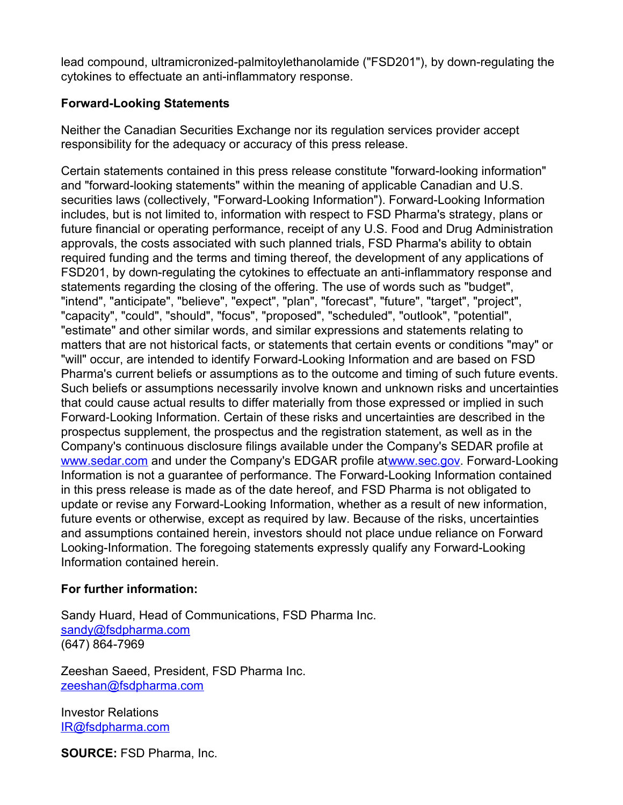lead compound, ultramicronized-palmitoylethanolamide ("FSD201"), by down-regulating the cytokines to effectuate an anti-inflammatory response.

## **Forward-Looking Statements**

Neither the Canadian Securities Exchange nor its regulation services provider accept responsibility for the adequacy or accuracy of this press release.

Certain statements contained in this press release constitute "forward-looking information" and "forward-looking statements" within the meaning of applicable Canadian and U.S. securities laws (collectively, "Forward-Looking Information"). Forward-Looking Information includes, but is not limited to, information with respect to FSD Pharma's strategy, plans or future financial or operating performance, receipt of any U.S. Food and Drug Administration approvals, the costs associated with such planned trials, FSD Pharma's ability to obtain required funding and the terms and timing thereof, the development of any applications of FSD201, by down-regulating the cytokines to effectuate an anti-inflammatory response and statements regarding the closing of the offering. The use of words such as "budget", "intend", "anticipate", "believe", "expect", "plan", "forecast", "future", "target", "project", "capacity", "could", "should", "focus", "proposed", "scheduled", "outlook", "potential", "estimate" and other similar words, and similar expressions and statements relating to matters that are not historical facts, or statements that certain events or conditions "may" or "will" occur, are intended to identify Forward-Looking Information and are based on FSD Pharma's current beliefs or assumptions as to the outcome and timing of such future events. Such beliefs or assumptions necessarily involve known and unknown risks and uncertainties that could cause actual results to differ materially from those expressed or implied in such Forward‐Looking Information. Certain of these risks and uncertainties are described in the prospectus supplement, the prospectus and the registration statement, as well as in the Company's continuous disclosure filings available under the Company's SEDAR profile at [www.sedar.com](https://pr.report/aLf2kiCd) and under the Company's EDGAR profile at[www.sec.gov](https://pr.report/-SmPk7Uc). Forward‐Looking Information is not a guarantee of performance. The Forward-Looking Information contained in this press release is made as of the date hereof, and FSD Pharma is not obligated to update or revise any Forward-Looking Information, whether as a result of new information, future events or otherwise, except as required by law. Because of the risks, uncertainties and assumptions contained herein, investors should not place undue reliance on Forward Looking-Information. The foregoing statements expressly qualify any Forward-Looking Information contained herein.

## **For further information:**

Sandy Huard, Head of Communications, FSD Pharma Inc. [sandy@fsdpharma.com](mailto:sandy@fsdpharma.com) (647) 864-7969

Zeeshan Saeed, President, FSD Pharma Inc. [zeeshan@fsdpharma.com](mailto:zeeshan@fsdpharma.com)

Investor Relations [IR@fsdpharma.com](mailto:IR@fsdpharma.com)

**SOURCE:** FSD Pharma, Inc.